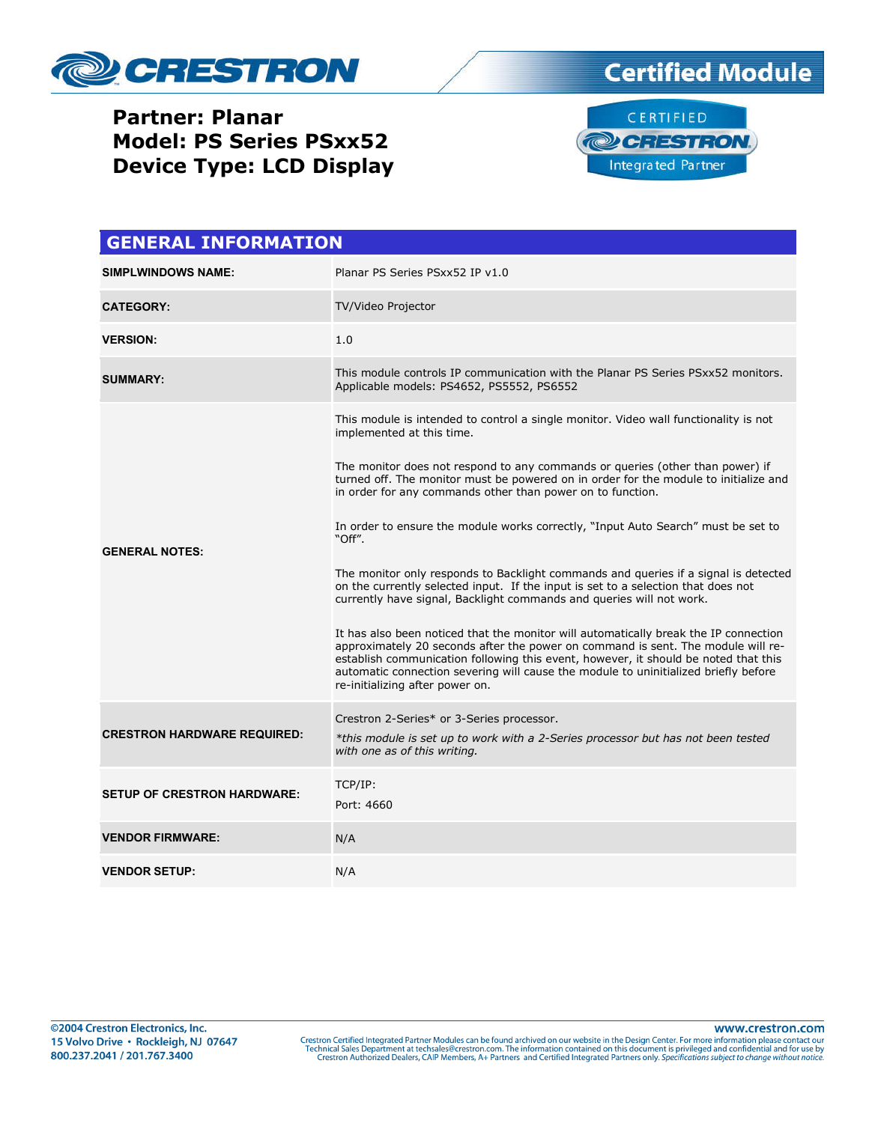

## **Partner: Planar Model: PS Series PSxx52 Device Type: LCD Display**



| <b>GENERAL INFORMATION</b>         |                                                                                                                                                                                                                                                                                                                                                                                           |  |
|------------------------------------|-------------------------------------------------------------------------------------------------------------------------------------------------------------------------------------------------------------------------------------------------------------------------------------------------------------------------------------------------------------------------------------------|--|
| <b>SIMPLWINDOWS NAME:</b>          | Planar PS Series PSxx52 IP v1.0                                                                                                                                                                                                                                                                                                                                                           |  |
| <b>CATEGORY:</b>                   | TV/Video Projector                                                                                                                                                                                                                                                                                                                                                                        |  |
| <b>VERSION:</b>                    | 1.0                                                                                                                                                                                                                                                                                                                                                                                       |  |
| <b>SUMMARY:</b>                    | This module controls IP communication with the Planar PS Series PSxx52 monitors.<br>Applicable models: PS4652, PS5552, PS6552                                                                                                                                                                                                                                                             |  |
| <b>GENERAL NOTES:</b>              | This module is intended to control a single monitor. Video wall functionality is not<br>implemented at this time.                                                                                                                                                                                                                                                                         |  |
|                                    | The monitor does not respond to any commands or queries (other than power) if<br>turned off. The monitor must be powered on in order for the module to initialize and<br>in order for any commands other than power on to function.                                                                                                                                                       |  |
|                                    | In order to ensure the module works correctly, "Input Auto Search" must be set to<br>"Off".                                                                                                                                                                                                                                                                                               |  |
|                                    | The monitor only responds to Backlight commands and queries if a signal is detected<br>on the currently selected input. If the input is set to a selection that does not<br>currently have signal, Backlight commands and queries will not work.                                                                                                                                          |  |
|                                    | It has also been noticed that the monitor will automatically break the IP connection<br>approximately 20 seconds after the power on command is sent. The module will re-<br>establish communication following this event, however, it should be noted that this<br>automatic connection severing will cause the module to uninitialized briefly before<br>re-initializing after power on. |  |
| <b>CRESTRON HARDWARE REQUIRED:</b> | Crestron 2-Series* or 3-Series processor.<br>*this module is set up to work with a 2-Series processor but has not been tested<br>with one as of this writing.                                                                                                                                                                                                                             |  |
| <b>SETUP OF CRESTRON HARDWARE:</b> | TCP/IP:<br>Port: 4660                                                                                                                                                                                                                                                                                                                                                                     |  |
| <b>VENDOR FIRMWARE:</b>            | N/A                                                                                                                                                                                                                                                                                                                                                                                       |  |
| <b>VENDOR SETUP:</b>               | N/A                                                                                                                                                                                                                                                                                                                                                                                       |  |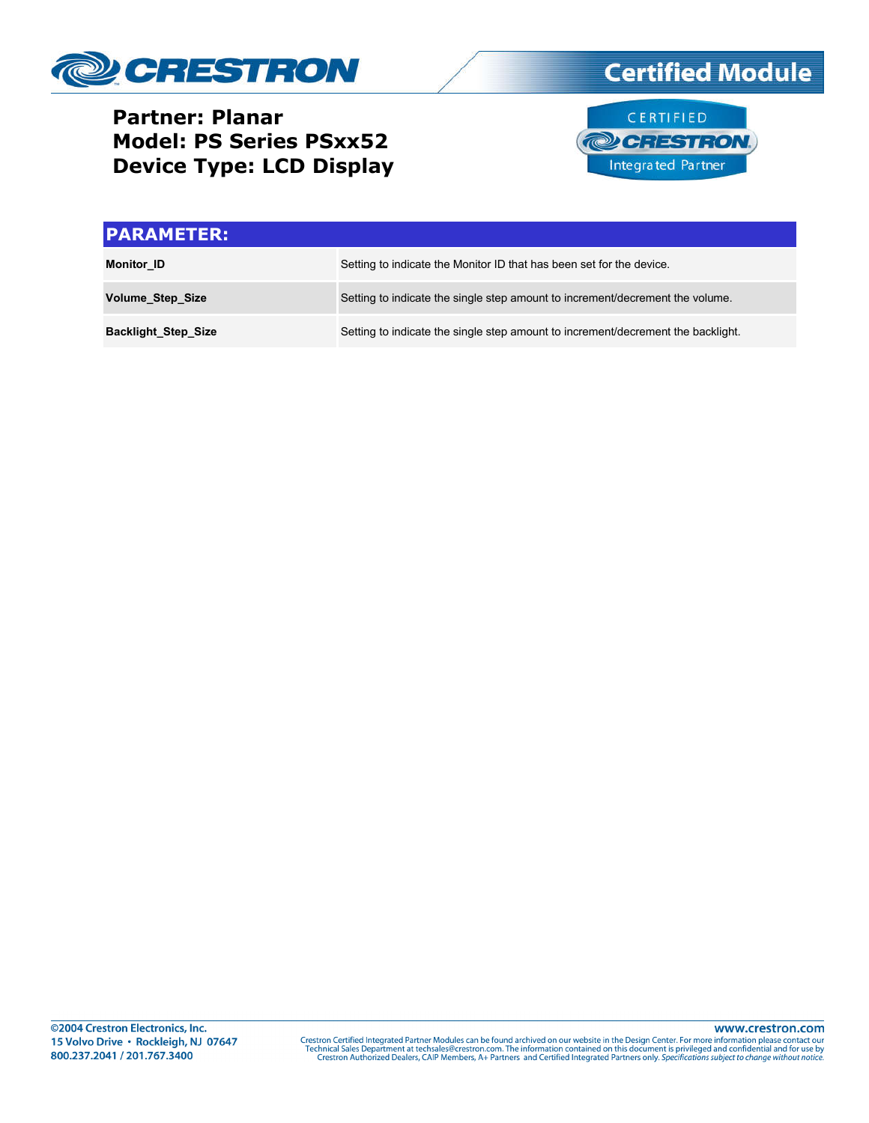

## **Partner: Planar Model: PS Series PSxx52 Device Type: LCD Display**



| <b>PARAMETER:</b>          |                                                                                  |
|----------------------------|----------------------------------------------------------------------------------|
| <b>Monitor ID</b>          | Setting to indicate the Monitor ID that has been set for the device.             |
| <b>Volume Step Size</b>    | Setting to indicate the single step amount to increment/decrement the volume.    |
| <b>Backlight Step Size</b> | Setting to indicate the single step amount to increment/decrement the backlight. |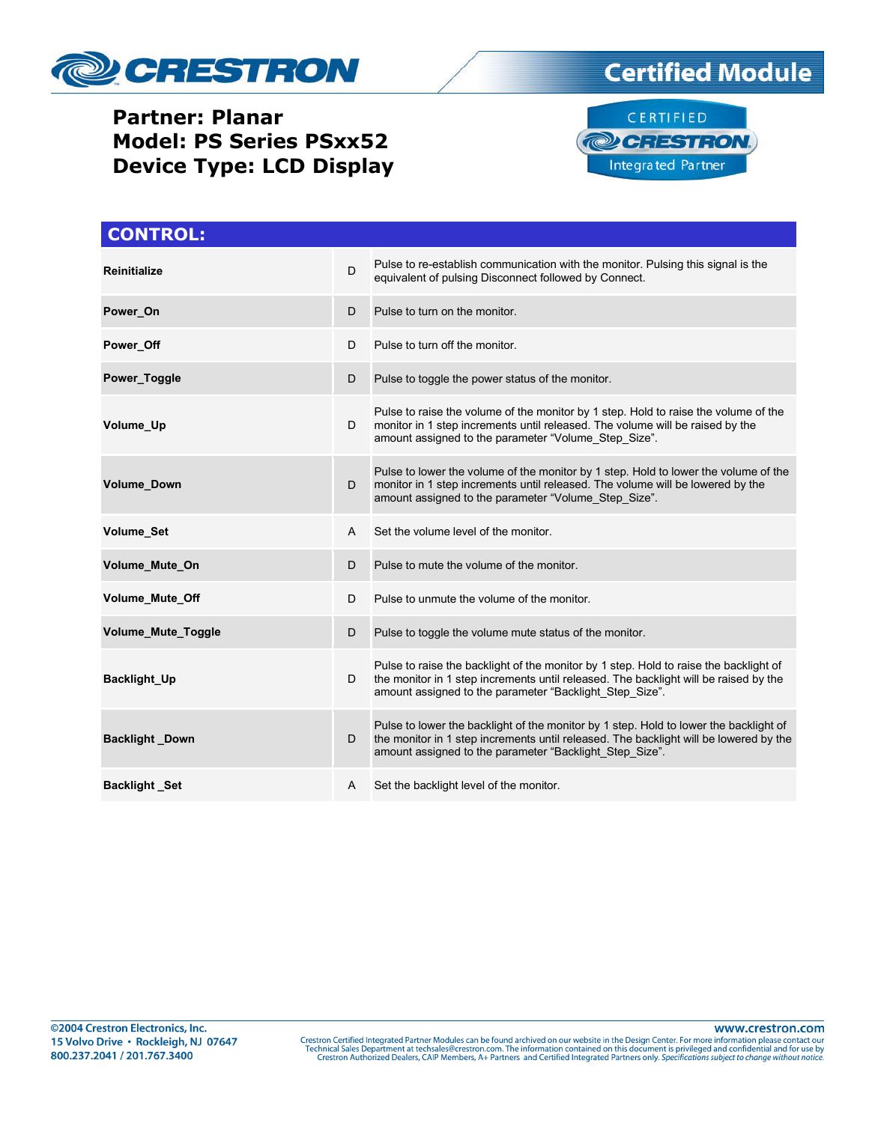

### **Partner: Planar Model: PS Series PSxx52 Device Type: LCD Display**





| <b>CONTROL:</b>        |   |                                                                                                                                                                                                                                           |
|------------------------|---|-------------------------------------------------------------------------------------------------------------------------------------------------------------------------------------------------------------------------------------------|
| <b>Reinitialize</b>    | D | Pulse to re-establish communication with the monitor. Pulsing this signal is the<br>equivalent of pulsing Disconnect followed by Connect.                                                                                                 |
| Power On               | D | Pulse to turn on the monitor.                                                                                                                                                                                                             |
| Power Off              | D | Pulse to turn off the monitor.                                                                                                                                                                                                            |
| Power Toggle           | D | Pulse to toggle the power status of the monitor.                                                                                                                                                                                          |
| Volume Up              | D | Pulse to raise the volume of the monitor by 1 step. Hold to raise the volume of the<br>monitor in 1 step increments until released. The volume will be raised by the<br>amount assigned to the parameter "Volume Step Size".              |
| Volume_Down            | D | Pulse to lower the volume of the monitor by 1 step. Hold to lower the volume of the<br>monitor in 1 step increments until released. The volume will be lowered by the<br>amount assigned to the parameter "Volume Step Size".             |
| <b>Volume Set</b>      | A | Set the volume level of the monitor.                                                                                                                                                                                                      |
| Volume Mute On         | D | Pulse to mute the volume of the monitor.                                                                                                                                                                                                  |
| <b>Volume Mute Off</b> | D | Pulse to unmute the volume of the monitor.                                                                                                                                                                                                |
| Volume_Mute_Toggle     | D | Pulse to toggle the volume mute status of the monitor.                                                                                                                                                                                    |
| Backlight_Up           | D | Pulse to raise the backlight of the monitor by 1 step. Hold to raise the backlight of<br>the monitor in 1 step increments until released. The backlight will be raised by the<br>amount assigned to the parameter "Backlight Step Size".  |
| <b>Backlight Down</b>  | D | Pulse to lower the backlight of the monitor by 1 step. Hold to lower the backlight of<br>the monitor in 1 step increments until released. The backlight will be lowered by the<br>amount assigned to the parameter "Backlight Step Size". |
| <b>Backlight Set</b>   | A | Set the backlight level of the monitor.                                                                                                                                                                                                   |

www.crestron.com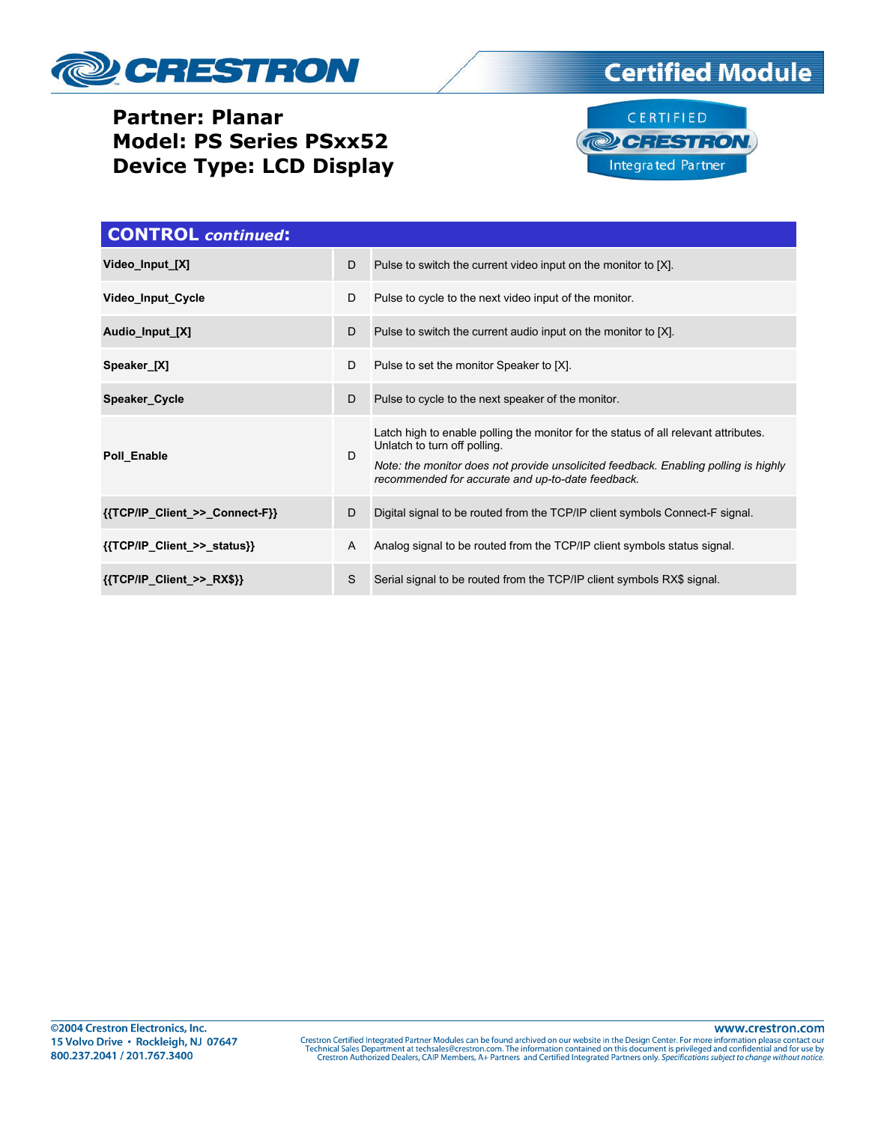

### **Partner: Planar Model: PS Series PSxx52 Device Type: LCD Display**



| <b>CONTROL</b> continued:      |   |                                                                                                                                                                                                                                                                 |  |  |
|--------------------------------|---|-----------------------------------------------------------------------------------------------------------------------------------------------------------------------------------------------------------------------------------------------------------------|--|--|
| Video Input [X]                | D | Pulse to switch the current video input on the monitor to [X].                                                                                                                                                                                                  |  |  |
| Video Input Cycle              | D | Pulse to cycle to the next video input of the monitor.                                                                                                                                                                                                          |  |  |
| Audio_Input_[X]                | D | Pulse to switch the current audio input on the monitor to [X].                                                                                                                                                                                                  |  |  |
| Speaker_[X]                    | D | Pulse to set the monitor Speaker to [X].                                                                                                                                                                                                                        |  |  |
| Speaker Cycle                  | D | Pulse to cycle to the next speaker of the monitor.                                                                                                                                                                                                              |  |  |
| Poll Enable                    | D | Latch high to enable polling the monitor for the status of all relevant attributes.<br>Unlatch to turn off polling.<br>Note: the monitor does not provide unsolicited feedback. Enabling polling is highly<br>recommended for accurate and up-to-date feedback. |  |  |
| {{TCP/IP Client >> Connect-F}} | D | Digital signal to be routed from the TCP/IP client symbols Connect-F signal.                                                                                                                                                                                    |  |  |
| {{TCP/IP_Client_>>_status}}    | A | Analog signal to be routed from the TCP/IP client symbols status signal.                                                                                                                                                                                        |  |  |
| ${TCP/IP}$ Client >> RX\$}}    | S | Serial signal to be routed from the TCP/IP client symbols RX\$ signal.                                                                                                                                                                                          |  |  |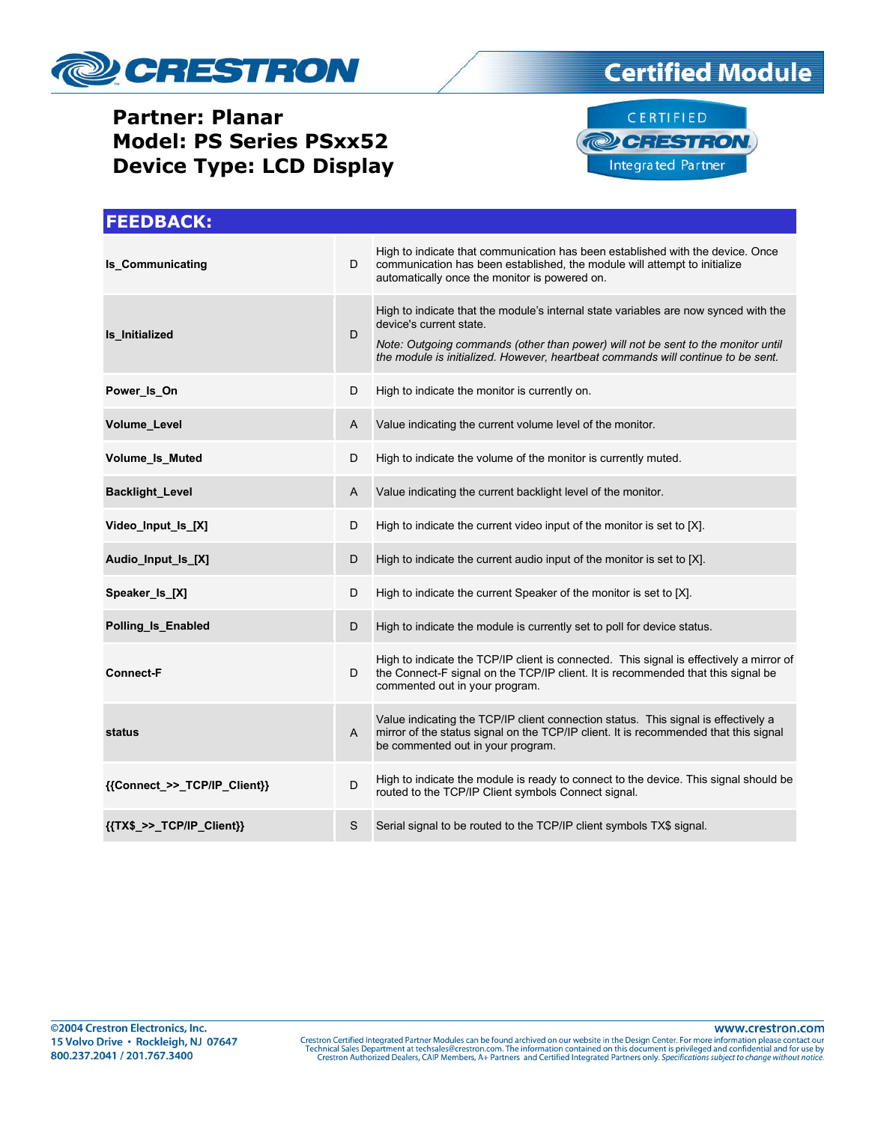

## **Partner: Planar Model: PS Series PSxx52 Device Type: LCD Display**





| <b>FEEDBACK:</b>                          |   |                                                                                                                                                                                                                                                                                        |
|-------------------------------------------|---|----------------------------------------------------------------------------------------------------------------------------------------------------------------------------------------------------------------------------------------------------------------------------------------|
| <b>Is Communicating</b>                   | D | High to indicate that communication has been established with the device. Once<br>communication has been established, the module will attempt to initialize<br>automatically once the monitor is powered on.                                                                           |
| Is Initialized                            | D | High to indicate that the module's internal state variables are now synced with the<br>device's current state.<br>Note: Outgoing commands (other than power) will not be sent to the monitor until<br>the module is initialized. However, heartbeat commands will continue to be sent. |
| Power_Is_On                               | D | High to indicate the monitor is currently on.                                                                                                                                                                                                                                          |
| Volume Level                              | A | Value indicating the current volume level of the monitor.                                                                                                                                                                                                                              |
| Volume_Is_Muted                           | D | High to indicate the volume of the monitor is currently muted.                                                                                                                                                                                                                         |
| <b>Backlight_Level</b>                    | Α | Value indicating the current backlight level of the monitor.                                                                                                                                                                                                                           |
| Video_Input_Is_[X]                        | D | High to indicate the current video input of the monitor is set to [X].                                                                                                                                                                                                                 |
| Audio_Input_Is_[X]                        | D | High to indicate the current audio input of the monitor is set to [X].                                                                                                                                                                                                                 |
| Speaker_Is_[X]                            | D | High to indicate the current Speaker of the monitor is set to [X].                                                                                                                                                                                                                     |
| Polling_Is_Enabled                        | D | High to indicate the module is currently set to poll for device status.                                                                                                                                                                                                                |
| <b>Connect-F</b>                          | D | High to indicate the TCP/IP client is connected. This signal is effectively a mirror of<br>the Connect-F signal on the TCP/IP client. It is recommended that this signal be<br>commented out in your program.                                                                          |
| status                                    | A | Value indicating the TCP/IP client connection status. This signal is effectively a<br>mirror of the status signal on the TCP/IP client. It is recommended that this signal<br>be commented out in your program.                                                                        |
| {{Connect_>>_TCP/IP_Client}}              | D | High to indicate the module is ready to connect to the device. This signal should be<br>routed to the TCP/IP Client symbols Connect signal.                                                                                                                                            |
| $\{ \text{TX$} > \text{TCP/IP Client} \}$ | S | Serial signal to be routed to the TCP/IP client symbols TX\$ signal.                                                                                                                                                                                                                   |

www.crestron.com